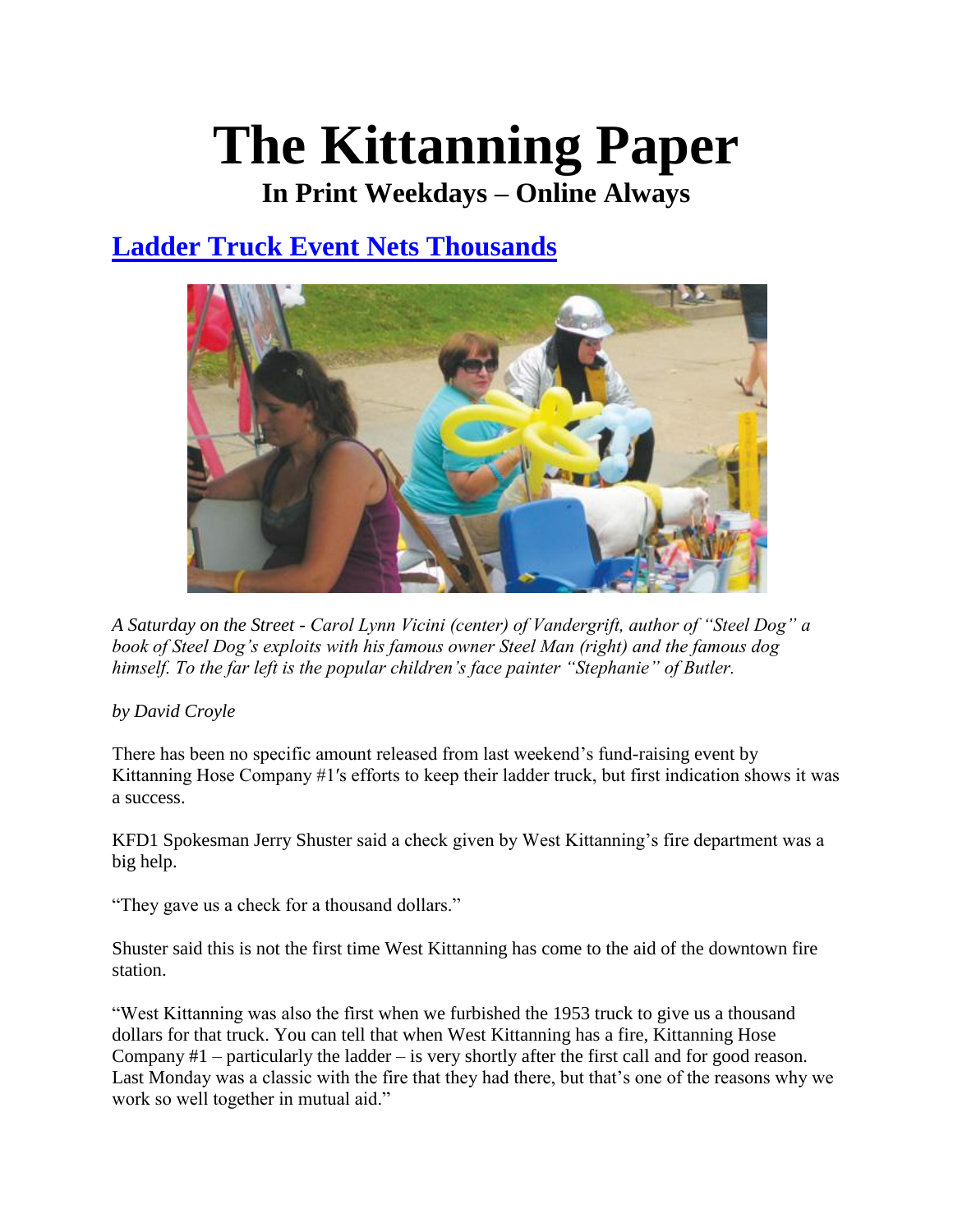## **The Kittanning Paper**

**In Print Weekdays – Online Always**

## **[Ladder Truck Event Nets Thousands](http://www.kittanningpaper.com/2011/08/16/ladder-truck-event-nets-thousands/19380)**



*A Saturday on the Street - Carol Lynn Vicini (center) of Vandergrift, author of "Steel Dog" a book of Steel Dog's exploits with his famous owner Steel Man (right) and the famous dog himself. To the far left is the popular children's face painter "Stephanie" of Butler.* 

## *by David Croyle*

There has been no specific amount released from last weekend's fund-raising event by Kittanning Hose Company #1′s efforts to keep their ladder truck, but first indication shows it was a success.

KFD1 Spokesman Jerry Shuster said a check given by West Kittanning's fire department was a big help.

"They gave us a check for a thousand dollars."

Shuster said this is not the first time West Kittanning has come to the aid of the downtown fire station.

"West Kittanning was also the first when we furbished the 1953 truck to give us a thousand dollars for that truck. You can tell that when West Kittanning has a fire, Kittanning Hose Company #1 – particularly the ladder – is very shortly after the first call and for good reason. Last Monday was a classic with the fire that they had there, but that's one of the reasons why we work so well together in mutual aid."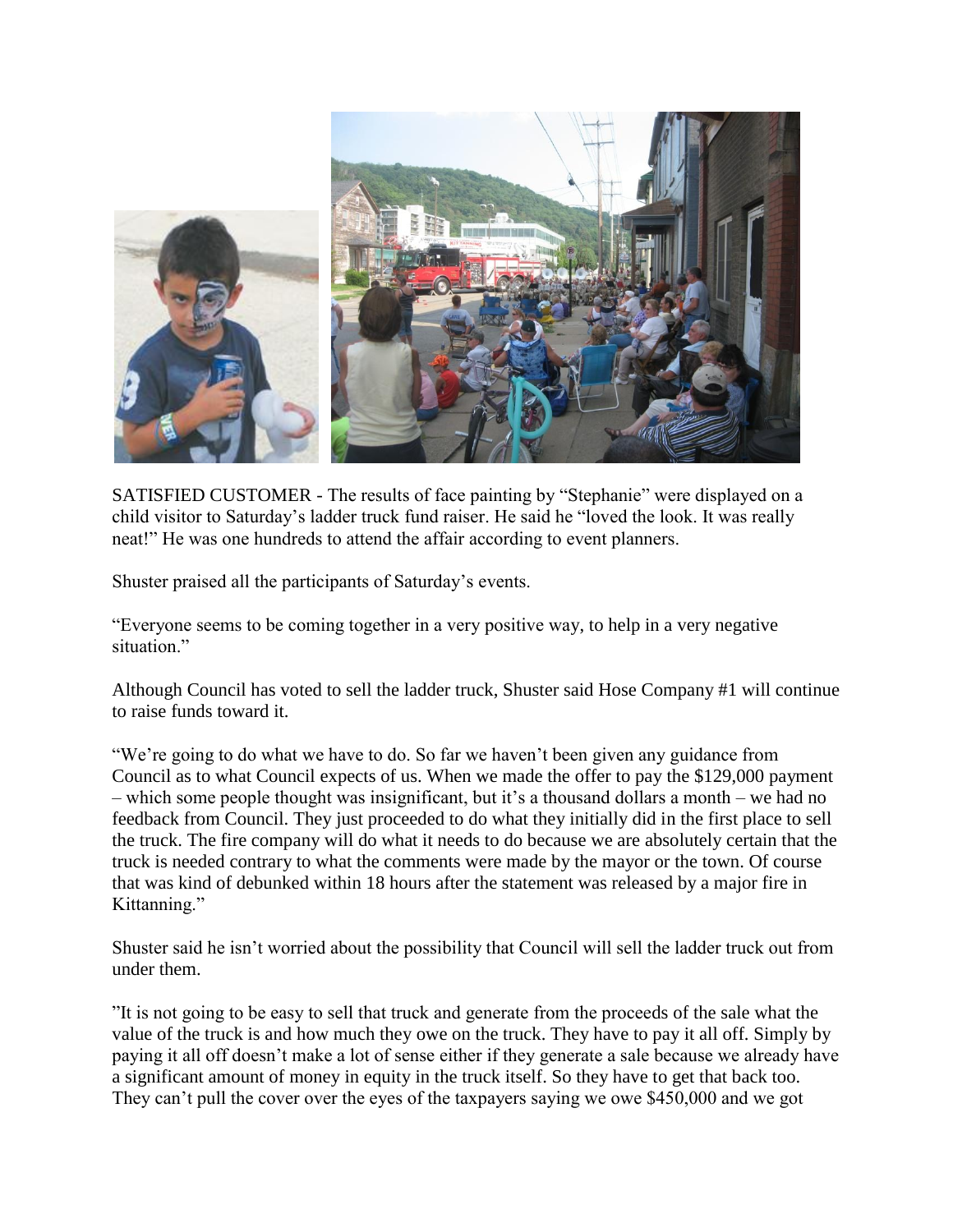

SATISFIED CUSTOMER - The results of face painting by "Stephanie" were displayed on a child visitor to Saturday's ladder truck fund raiser. He said he "loved the look. It was really neat!" He was one hundreds to attend the affair according to event planners.

Shuster praised all the participants of Saturday's events.

"Everyone seems to be coming together in a very positive way, to help in a very negative situation."

Although Council has voted to sell the ladder truck, Shuster said Hose Company #1 will continue to raise funds toward it.

"We're going to do what we have to do. So far we haven't been given any guidance from Council as to what Council expects of us. When we made the offer to pay the \$129,000 payment – which some people thought was insignificant, but it's a thousand dollars a month – we had no feedback from Council. They just proceeded to do what they initially did in the first place to sell the truck. The fire company will do what it needs to do because we are absolutely certain that the truck is needed contrary to what the comments were made by the mayor or the town. Of course that was kind of debunked within 18 hours after the statement was released by a major fire in Kittanning."

Shuster said he isn't worried about the possibility that Council will sell the ladder truck out from under them.

"It is not going to be easy to sell that truck and generate from the proceeds of the sale what the value of the truck is and how much they owe on the truck. They have to pay it all off. Simply by paying it all off doesn't make a lot of sense either if they generate a sale because we already have a significant amount of money in equity in the truck itself. So they have to get that back too. They can't pull the cover over the eyes of the taxpayers saying we owe \$450,000 and we got